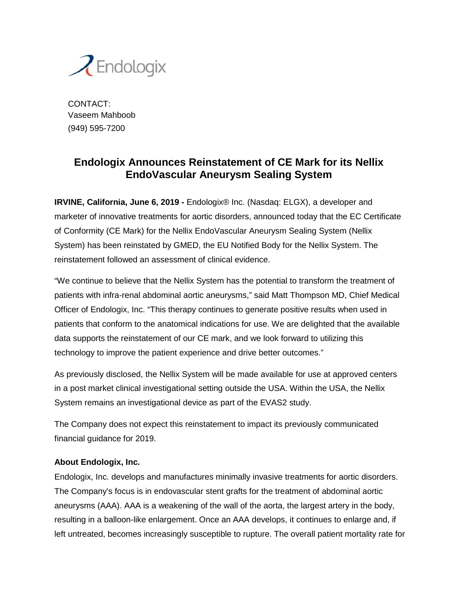

CONTACT: Vaseem Mahboob (949) 595-7200

## **Endologix Announces Reinstatement of CE Mark for its Nellix EndoVascular Aneurysm Sealing System**

**IRVINE, California, June 6, 2019 -** Endologix® Inc. (Nasdaq: ELGX), a developer and marketer of innovative treatments for aortic disorders, announced today that the EC Certificate of Conformity (CE Mark) for the Nellix EndoVascular Aneurysm Sealing System (Nellix System) has been reinstated by GMED, the EU Notified Body for the Nellix System. The reinstatement followed an assessment of clinical evidence.

"We continue to believe that the Nellix System has the potential to transform the treatment of patients with infra-renal abdominal aortic aneurysms," said Matt Thompson MD, Chief Medical Officer of Endologix, Inc. "This therapy continues to generate positive results when used in patients that conform to the anatomical indications for use. We are delighted that the available data supports the reinstatement of our CE mark, and we look forward to utilizing this technology to improve the patient experience and drive better outcomes."

As previously disclosed, the Nellix System will be made available for use at approved centers in a post market clinical investigational setting outside the USA. Within the USA, the Nellix System remains an investigational device as part of the EVAS2 study.

The Company does not expect this reinstatement to impact its previously communicated financial guidance for 2019.

## **About Endologix, Inc.**

Endologix, Inc. develops and manufactures minimally invasive treatments for aortic disorders. The Company's focus is in endovascular stent grafts for the treatment of abdominal aortic aneurysms (AAA). AAA is a weakening of the wall of the aorta, the largest artery in the body, resulting in a balloon-like enlargement. Once an AAA develops, it continues to enlarge and, if left untreated, becomes increasingly susceptible to rupture. The overall patient mortality rate for